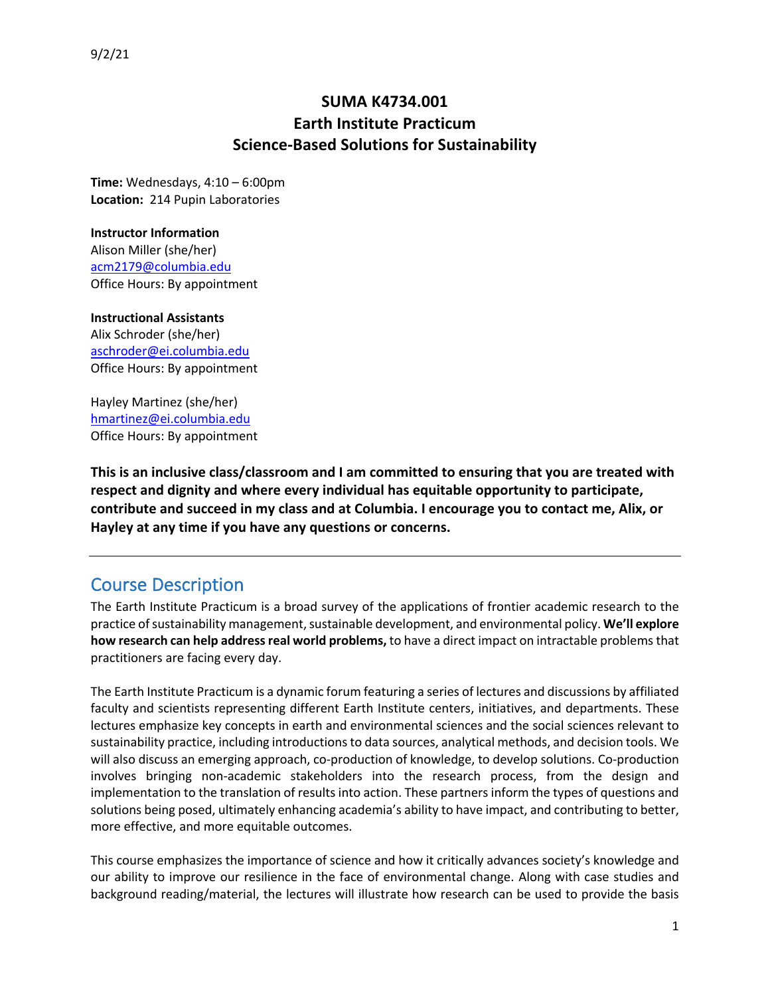### **SUMA K4734.001 Earth Institute Practicum Science-Based Solutions for Sustainability**

**Time:** Wednesdays, 4:10 – 6:00pm **Location:** 214 Pupin Laboratories

#### **Instructor Information**

Alison Miller (she/her) acm2179@columbia.edu Office Hours: By appointment

#### **Instructional Assistants**

Alix Schroder (she/her) aschroder@ei.columbia.edu Office Hours: By appointment

Hayley Martinez (she/her) hmartinez@ei.columbia.edu Office Hours: By appointment

**This is an inclusive class/classroom and I am committed to ensuring that you are treated with respect and dignity and where every individual has equitable opportunity to participate, contribute and succeed in my class and at Columbia. I encourage you to contact me, Alix, or Hayley at any time if you have any questions or concerns.**

## Course Description

The Earth Institute Practicum is a broad survey of the applications of frontier academic research to the practice of sustainability management, sustainable development, and environmental policy. **We'll explore how research can help address real world problems,** to have a direct impact on intractable problems that practitioners are facing every day.

The Earth Institute Practicum is a dynamic forum featuring a series of lectures and discussions by affiliated faculty and scientists representing different Earth Institute centers, initiatives, and departments. These lectures emphasize key concepts in earth and environmental sciences and the social sciences relevant to sustainability practice, including introductions to data sources, analytical methods, and decision tools. We will also discuss an emerging approach, co-production of knowledge, to develop solutions. Co-production involves bringing non-academic stakeholders into the research process, from the design and implementation to the translation of results into action. These partners inform the types of questions and solutions being posed, ultimately enhancing academia's ability to have impact, and contributing to better, more effective, and more equitable outcomes.

This course emphasizes the importance of science and how it critically advances society's knowledge and our ability to improve our resilience in the face of environmental change. Along with case studies and background reading/material, the lectures will illustrate how research can be used to provide the basis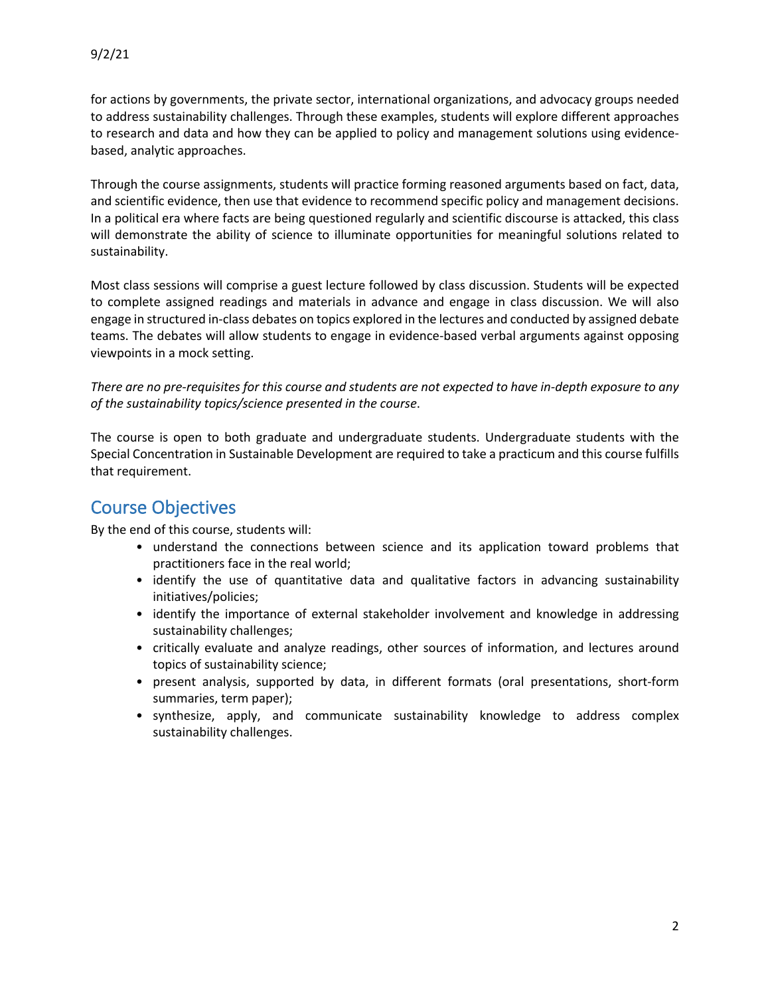for actions by governments, the private sector, international organizations, and advocacy groups needed to address sustainability challenges. Through these examples, students will explore different approaches to research and data and how they can be applied to policy and management solutions using evidencebased, analytic approaches.

Through the course assignments, students will practice forming reasoned arguments based on fact, data, and scientific evidence, then use that evidence to recommend specific policy and management decisions. In a political era where facts are being questioned regularly and scientific discourse is attacked, this class will demonstrate the ability of science to illuminate opportunities for meaningful solutions related to sustainability.

Most class sessions will comprise a guest lecture followed by class discussion. Students will be expected to complete assigned readings and materials in advance and engage in class discussion. We will also engage in structured in-class debates on topics explored in the lectures and conducted by assigned debate teams. The debates will allow students to engage in evidence-based verbal arguments against opposing viewpoints in a mock setting.

*There are no pre-requisites for this course and students are not expected to have in-depth exposure to any of the sustainability topics/science presented in the course*.

The course is open to both graduate and undergraduate students. Undergraduate students with the Special Concentration in Sustainable Development are required to take a practicum and this course fulfills that requirement.

## Course Objectives

By the end of this course, students will:

- understand the connections between science and its application toward problems that practitioners face in the real world;
- identify the use of quantitative data and qualitative factors in advancing sustainability initiatives/policies;
- identify the importance of external stakeholder involvement and knowledge in addressing sustainability challenges;
- critically evaluate and analyze readings, other sources of information, and lectures around topics of sustainability science;
- present analysis, supported by data, in different formats (oral presentations, short-form summaries, term paper);
- synthesize, apply, and communicate sustainability knowledge to address complex sustainability challenges.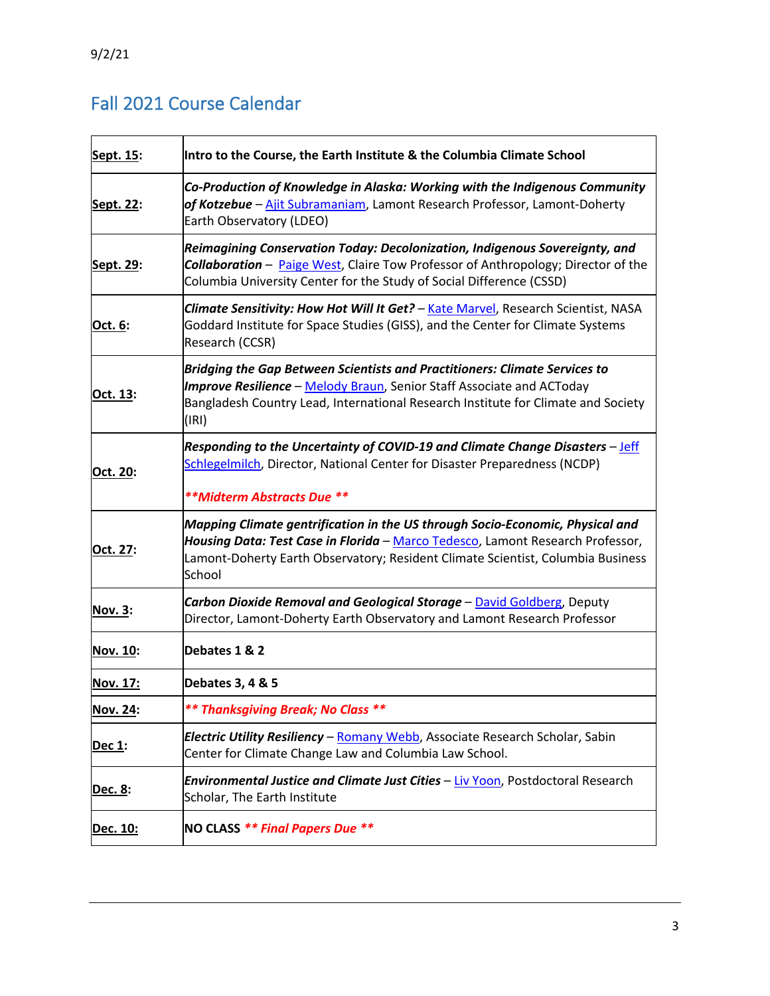# Fall 2021 Course Calendar

| Sept. 15:       | Intro to the Course, the Earth Institute & the Columbia Climate School                                                                                                                                                                                                                                                                                                                                                                  |  |  |  |  |  |  |  |  |
|-----------------|-----------------------------------------------------------------------------------------------------------------------------------------------------------------------------------------------------------------------------------------------------------------------------------------------------------------------------------------------------------------------------------------------------------------------------------------|--|--|--|--|--|--|--|--|
| Sept. 22:       | Co-Production of Knowledge in Alaska: Working with the Indigenous Community<br>of Kotzebue – Ajit Subramaniam, Lamont Research Professor, Lamont-Doherty<br>Earth Observatory (LDEO)<br>Reimagining Conservation Today: Decolonization, Indigenous Sovereignty, and<br><b>Collaboration</b> - Paige West, Claire Tow Professor of Anthropology; Director of the<br>Columbia University Center for the Study of Social Difference (CSSD) |  |  |  |  |  |  |  |  |
| Sept. 29:       |                                                                                                                                                                                                                                                                                                                                                                                                                                         |  |  |  |  |  |  |  |  |
| Oct. 6:         | Climate Sensitivity: How Hot Will It Get? - Kate Marvel, Research Scientist, NASA<br>Goddard Institute for Space Studies (GISS), and the Center for Climate Systems<br>Research (CCSR)                                                                                                                                                                                                                                                  |  |  |  |  |  |  |  |  |
| Oct. 13:        | Bridging the Gap Between Scientists and Practitioners: Climate Services to<br><b>Improve Resilience</b> - Melody Braun, Senior Staff Associate and ACToday<br>Bangladesh Country Lead, International Research Institute for Climate and Society<br>(IRI)                                                                                                                                                                                |  |  |  |  |  |  |  |  |
| Oct. 20:        | Responding to the Uncertainty of COVID-19 and Climate Change Disasters – Jeff<br>Schlegelmilch, Director, National Center for Disaster Preparedness (NCDP)<br>**Midterm Abstracts Due **                                                                                                                                                                                                                                                |  |  |  |  |  |  |  |  |
| Oct. 27:        | Mapping Climate gentrification in the US through Socio-Economic, Physical and<br>Housing Data: Test Case in Florida - Marco Tedesco, Lamont Research Professor,<br>Lamont-Doherty Earth Observatory; Resident Climate Scientist, Columbia Business<br>School                                                                                                                                                                            |  |  |  |  |  |  |  |  |
| Nov. 3:         | Carbon Dioxide Removal and Geological Storage - David Goldberg, Deputy<br>Director, Lamont-Doherty Earth Observatory and Lamont Research Professor                                                                                                                                                                                                                                                                                      |  |  |  |  |  |  |  |  |
| <b>Nov. 10:</b> | Debates 1 & 2                                                                                                                                                                                                                                                                                                                                                                                                                           |  |  |  |  |  |  |  |  |
| Nov. 17:        | Debates 3, 4 & 5                                                                                                                                                                                                                                                                                                                                                                                                                        |  |  |  |  |  |  |  |  |
| <b>Nov. 24:</b> | ** Thanksgiving Break; No Class **                                                                                                                                                                                                                                                                                                                                                                                                      |  |  |  |  |  |  |  |  |
| <u>Dec 1:</u>   | <b>Electric Utility Resiliency – Romany Webb</b> , Associate Research Scholar, Sabin<br>Center for Climate Change Law and Columbia Law School.                                                                                                                                                                                                                                                                                          |  |  |  |  |  |  |  |  |
| Dec. 8:         | Environmental Justice and Climate Just Cities - Liv Yoon, Postdoctoral Research<br>Scholar, The Earth Institute                                                                                                                                                                                                                                                                                                                         |  |  |  |  |  |  |  |  |
| Dec. 10:        | NO CLASS ** Final Papers Due **                                                                                                                                                                                                                                                                                                                                                                                                         |  |  |  |  |  |  |  |  |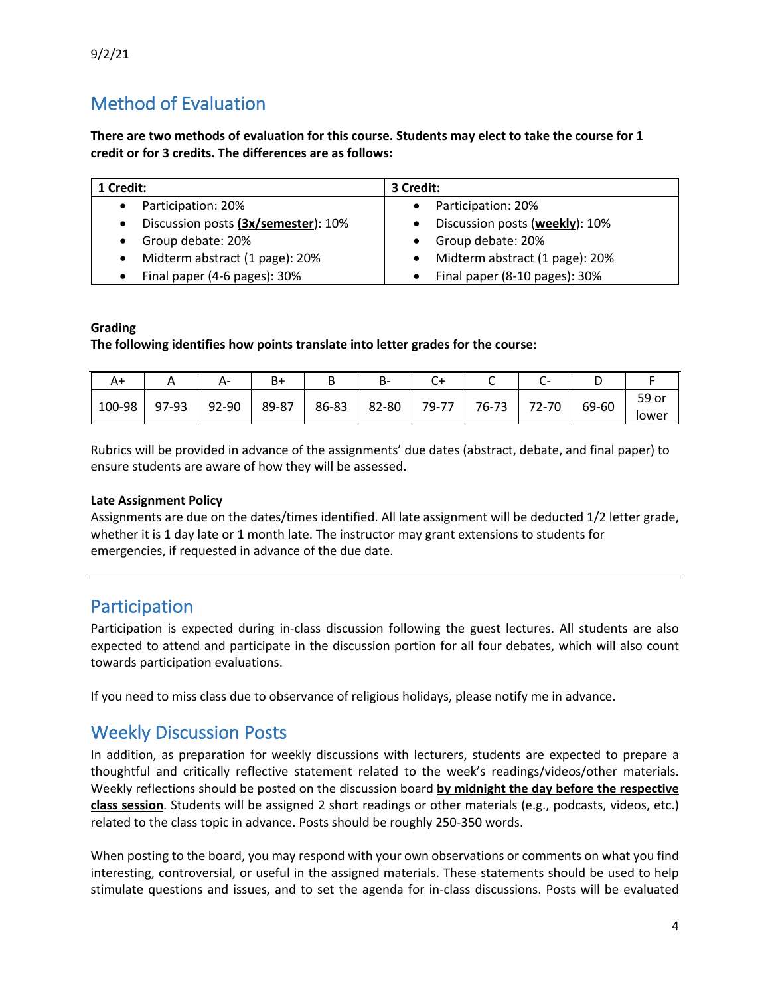9/2/21

## Method of Evaluation

**There are two methods of evaluation for this course. Students may elect to take the course for 1 credit or for 3 credits. The differences are as follows:**

| 1 Credit:                           | 3 Credit:                      |  |  |  |  |
|-------------------------------------|--------------------------------|--|--|--|--|
| Participation: 20%                  | Participation: 20%             |  |  |  |  |
| Discussion posts (3x/semester): 10% | Discussion posts (weekly): 10% |  |  |  |  |
| Group debate: 20%                   | Group debate: 20%              |  |  |  |  |
| Midterm abstract (1 page): 20%      | Midterm abstract (1 page): 20% |  |  |  |  |
| Final paper (4-6 pages): 30%        | Final paper (8-10 pages): 30%  |  |  |  |  |

#### **Grading**

**The following identifies how points translate into letter grades for the course:** 

| A+     |       | A-    | B٠    | ╌     | ъ-    |       |       |       |       |       |
|--------|-------|-------|-------|-------|-------|-------|-------|-------|-------|-------|
| 100-98 | 97-93 | 92-90 | 89-87 | 86-83 | 82-80 | 79-77 | 76-73 | 72-70 | 69-60 | 59 or |
|        |       |       |       |       |       |       |       |       |       | iower |

Rubrics will be provided in advance of the assignments' due dates (abstract, debate, and final paper) to ensure students are aware of how they will be assessed.

#### **Late Assignment Policy**

Assignments are due on the dates/times identified. All late assignment will be deducted 1/2 letter grade, whether it is 1 day late or 1 month late. The instructor may grant extensions to students for emergencies, if requested in advance of the due date.

### Participation

Participation is expected during in-class discussion following the guest lectures. All students are also expected to attend and participate in the discussion portion for all four debates, which will also count towards participation evaluations.

If you need to miss class due to observance of religious holidays, please notify me in advance.

## Weekly Discussion Posts

In addition, as preparation for weekly discussions with lecturers, students are expected to prepare a thoughtful and critically reflective statement related to the week's readings/videos/other materials. Weekly reflections should be posted on the discussion board **by midnight the day before the respective class session**. Students will be assigned 2 short readings or other materials (e.g., podcasts, videos, etc.) related to the class topic in advance. Posts should be roughly 250-350 words.

When posting to the board, you may respond with your own observations or comments on what you find interesting, controversial, or useful in the assigned materials. These statements should be used to help stimulate questions and issues, and to set the agenda for in-class discussions. Posts will be evaluated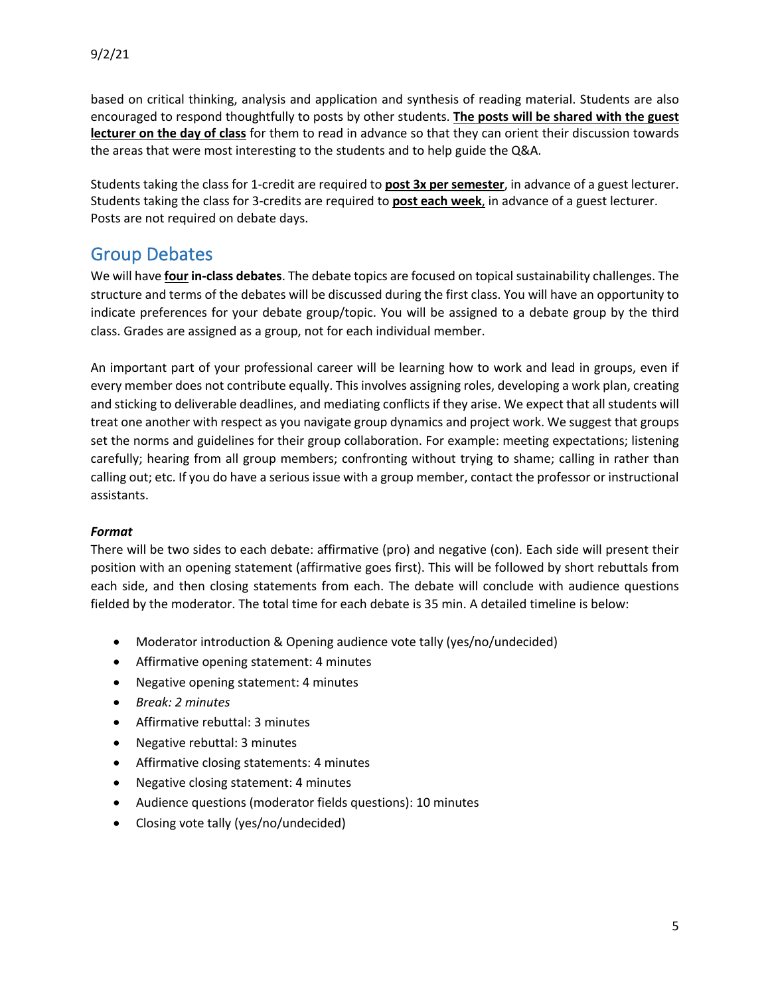based on critical thinking, analysis and application and synthesis of reading material. Students are also encouraged to respond thoughtfully to posts by other students. **The posts will be shared with the guest lecturer on the day of class** for them to read in advance so that they can orient their discussion towards the areas that were most interesting to the students and to help guide the Q&A.

Students taking the class for 1-credit are required to **post 3x per semester**, in advance of a guest lecturer. Students taking the class for 3-credits are required to **post each week**, in advance of a guest lecturer. Posts are not required on debate days.

## Group Debates

We will have **four in-class debates**. The debate topics are focused on topical sustainability challenges. The structure and terms of the debates will be discussed during the first class. You will have an opportunity to indicate preferences for your debate group/topic. You will be assigned to a debate group by the third class. Grades are assigned as a group, not for each individual member.

An important part of your professional career will be learning how to work and lead in groups, even if every member does not contribute equally. This involves assigning roles, developing a work plan, creating and sticking to deliverable deadlines, and mediating conflicts if they arise. We expect that all students will treat one another with respect as you navigate group dynamics and project work. We suggest that groups set the norms and guidelines for their group collaboration. For example: meeting expectations; listening carefully; hearing from all group members; confronting without trying to shame; calling in rather than calling out; etc. If you do have a serious issue with a group member, contact the professor or instructional assistants.

### *Format*

There will be two sides to each debate: affirmative (pro) and negative (con). Each side will present their position with an opening statement (affirmative goes first). This will be followed by short rebuttals from each side, and then closing statements from each. The debate will conclude with audience questions fielded by the moderator. The total time for each debate is 35 min. A detailed timeline is below:

- Moderator introduction & Opening audience vote tally (yes/no/undecided)
- Affirmative opening statement: 4 minutes
- Negative opening statement: 4 minutes
- *Break: 2 minutes*
- Affirmative rebuttal: 3 minutes
- Negative rebuttal: 3 minutes
- Affirmative closing statements: 4 minutes
- Negative closing statement: 4 minutes
- Audience questions (moderator fields questions): 10 minutes
- Closing vote tally (yes/no/undecided)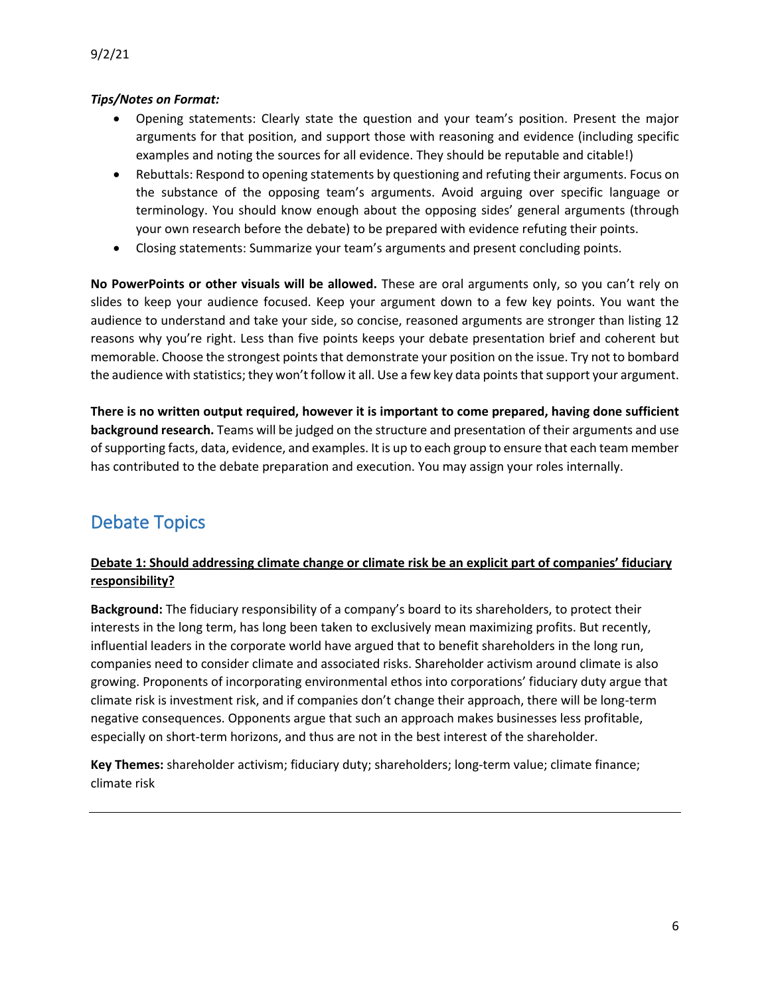### *Tips/Notes on Format:*

- Opening statements: Clearly state the question and your team's position. Present the major arguments for that position, and support those with reasoning and evidence (including specific examples and noting the sources for all evidence. They should be reputable and citable!)
- Rebuttals: Respond to opening statements by questioning and refuting their arguments. Focus on the substance of the opposing team's arguments. Avoid arguing over specific language or terminology. You should know enough about the opposing sides' general arguments (through your own research before the debate) to be prepared with evidence refuting their points.
- Closing statements: Summarize your team's arguments and present concluding points.

**No PowerPoints or other visuals will be allowed.** These are oral arguments only, so you can't rely on slides to keep your audience focused. Keep your argument down to a few key points. You want the audience to understand and take your side, so concise, reasoned arguments are stronger than listing 12 reasons why you're right. Less than five points keeps your debate presentation brief and coherent but memorable. Choose the strongest points that demonstrate your position on the issue. Try not to bombard the audience with statistics; they won't follow it all. Use a few key data points that support your argument.

**There is no written output required, however it is important to come prepared, having done sufficient background research.** Teams will be judged on the structure and presentation of their arguments and use of supporting facts, data, evidence, and examples. It is up to each group to ensure that each team member has contributed to the debate preparation and execution. You may assign your roles internally.

# Debate Topics

### **Debate 1: Should addressing climate change or climate risk be an explicit part of companies' fiduciary responsibility?**

**Background:** The fiduciary responsibility of a company's board to its shareholders, to protect their interests in the long term, has long been taken to exclusively mean maximizing profits. But recently, influential leaders in the corporate world have argued that to benefit shareholders in the long run, companies need to consider climate and associated risks. Shareholder activism around climate is also growing. Proponents of incorporating environmental ethos into corporations' fiduciary duty argue that climate risk is investment risk, and if companies don't change their approach, there will be long-term negative consequences. Opponents argue that such an approach makes businesses less profitable, especially on short-term horizons, and thus are not in the best interest of the shareholder.

**Key Themes:** shareholder activism; fiduciary duty; shareholders; long-term value; climate finance; climate risk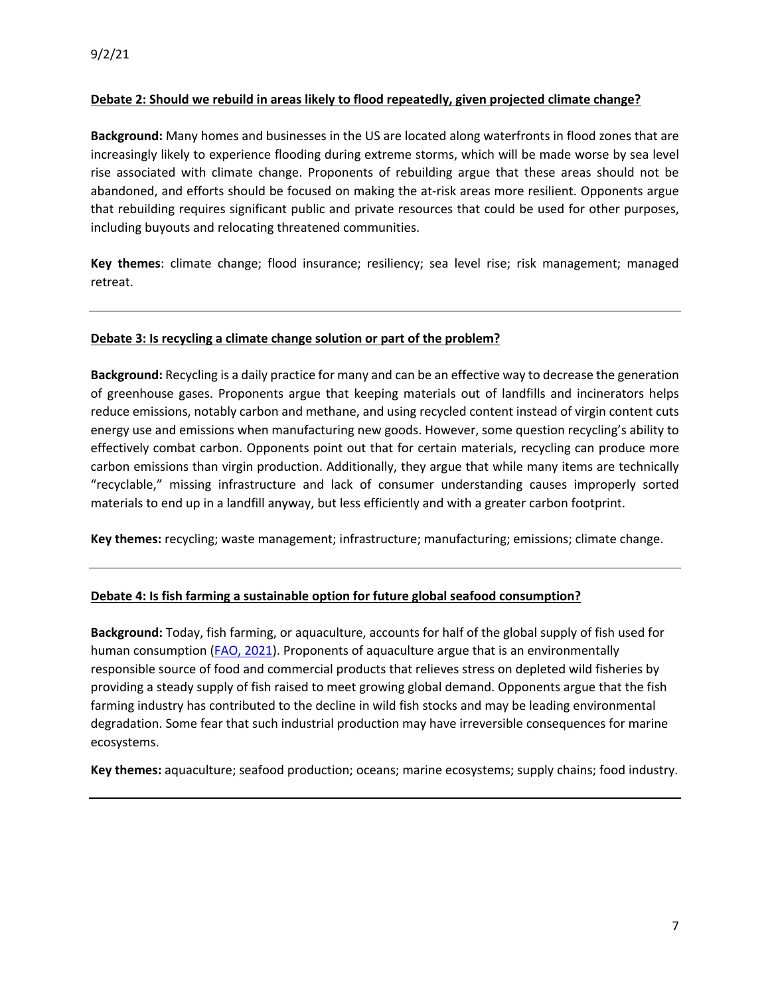#### **Debate 2: Should we rebuild in areas likely to flood repeatedly, given projected climate change?**

**Background:** Many homes and businesses in the US are located along waterfronts in flood zones that are increasingly likely to experience flooding during extreme storms, which will be made worse by sea level rise associated with climate change. Proponents of rebuilding argue that these areas should not be abandoned, and efforts should be focused on making the at-risk areas more resilient. Opponents argue that rebuilding requires significant public and private resources that could be used for other purposes, including buyouts and relocating threatened communities.

**Key themes**: climate change; flood insurance; resiliency; sea level rise; risk management; managed retreat.

#### **Debate 3: Is recycling a climate change solution or part of the problem?**

**Background:** Recycling is a daily practice for many and can be an effective way to decrease the generation of greenhouse gases. Proponents argue that keeping materials out of landfills and incinerators helps reduce emissions, notably carbon and methane, and using recycled content instead of virgin content cuts energy use and emissions when manufacturing new goods. However, some question recycling's ability to effectively combat carbon. Opponents point out that for certain materials, recycling can produce more carbon emissions than virgin production. Additionally, they argue that while many items are technically "recyclable," missing infrastructure and lack of consumer understanding causes improperly sorted materials to end up in a landfill anyway, but less efficiently and with a greater carbon footprint.

**Key themes:** recycling; waste management; infrastructure; manufacturing; emissions; climate change.

#### **Debate 4: Is fish farming a sustainable option for future global seafood consumption?**

**Background:** Today, fish farming, or aquaculture, accounts for half of the global supply of fish used for human consumption (FAO, 2021). Proponents of aquaculture argue that is an environmentally responsible source of food and commercial products that relieves stress on depleted wild fisheries by providing a steady supply of fish raised to meet growing global demand. Opponents argue that the fish farming industry has contributed to the decline in wild fish stocks and may be leading environmental degradation. Some fear that such industrial production may have irreversible consequences for marine ecosystems.

**Key themes:** aquaculture; seafood production; oceans; marine ecosystems; supply chains; food industry.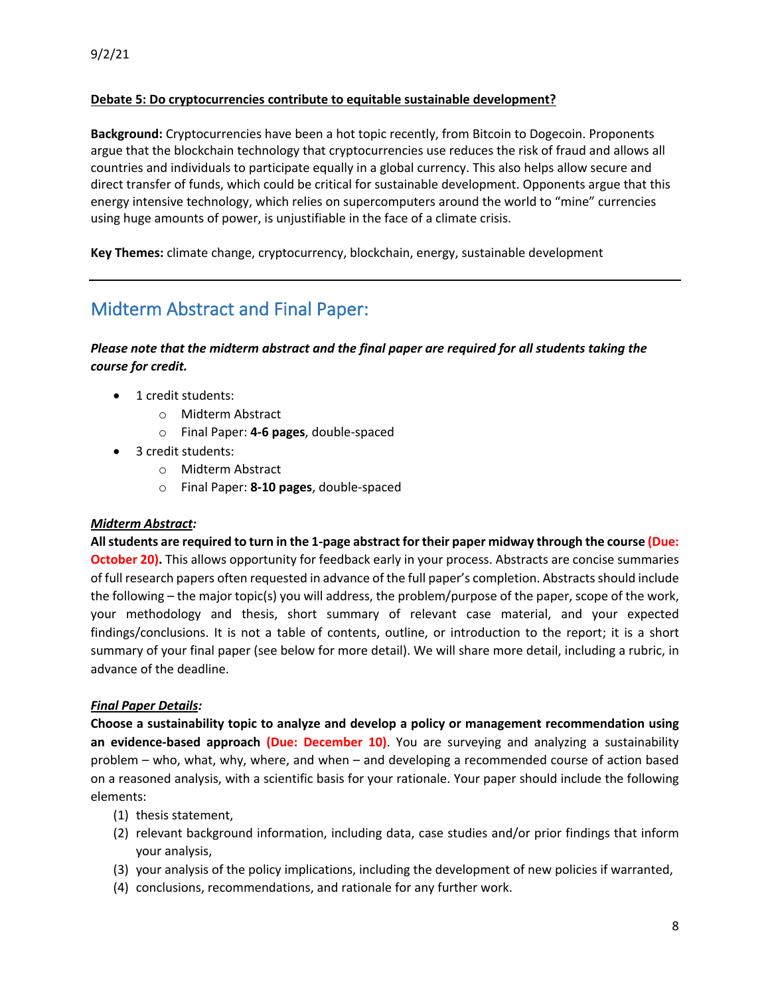#### **Debate 5: Do cryptocurrencies contribute to equitable sustainable development?**

**Background:** Cryptocurrencies have been a hot topic recently, from Bitcoin to Dogecoin. Proponents argue that the blockchain technology that cryptocurrencies use reduces the risk of fraud and allows all countries and individuals to participate equally in a global currency. This also helps allow secure and direct transfer of funds, which could be critical for sustainable development. Opponents argue that this energy intensive technology, which relies on supercomputers around the world to "mine" currencies using huge amounts of power, is unjustifiable in the face of a climate crisis.

**Key Themes:** climate change, cryptocurrency, blockchain, energy, sustainable development

## Midterm Abstract and Final Paper:

*Please note that the midterm abstract and the final paper are required for all students taking the course for credit.* 

- 1 credit students:
	- o Midterm Abstract
	- o Final Paper: **4-6 pages**, double-spaced
- 3 credit students:
	- o Midterm Abstract
	- o Final Paper: **8-10 pages**, double-spaced

#### *Midterm Abstract:*

**Allstudents are required to turn in the 1-page abstract for their paper midway through the course (Due: October 20).** This allows opportunity for feedback early in your process. Abstracts are concise summaries of full research papers often requested in advance of the full paper's completion. Abstracts should include the following – the major topic(s) you will address, the problem/purpose of the paper, scope of the work, your methodology and thesis, short summary of relevant case material, and your expected findings/conclusions. It is not a table of contents, outline, or introduction to the report; it is a short summary of your final paper (see below for more detail). We will share more detail, including a rubric, in advance of the deadline.

#### *Final Paper Details:*

**Choose a sustainability topic to analyze and develop a policy or management recommendation using an evidence-based approach (Due: December 10)**. You are surveying and analyzing a sustainability problem – who, what, why, where, and when – and developing a recommended course of action based on a reasoned analysis, with a scientific basis for your rationale. Your paper should include the following elements:

- (1) thesis statement,
- (2) relevant background information, including data, case studies and/or prior findings that inform your analysis,
- (3) your analysis of the policy implications, including the development of new policies if warranted,
- (4) conclusions, recommendations, and rationale for any further work.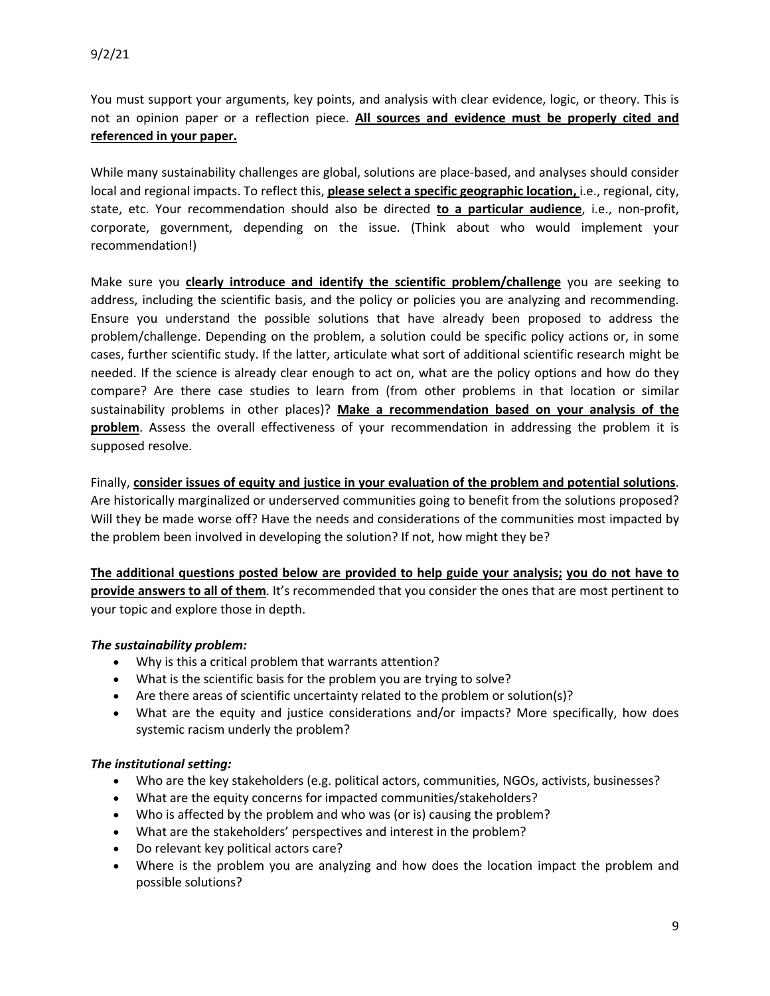You must support your arguments, key points, and analysis with clear evidence, logic, or theory. This is not an opinion paper or a reflection piece. **All sources and evidence must be properly cited and referenced in your paper.**

While many sustainability challenges are global, solutions are place-based, and analyses should consider local and regional impacts. To reflect this, **please select a specific geographic location,** i.e., regional, city, state, etc. Your recommendation should also be directed **to a particular audience**, i.e., non-profit, corporate, government, depending on the issue. (Think about who would implement your recommendation!)

Make sure you **clearly introduce and identify the scientific problem/challenge** you are seeking to address, including the scientific basis, and the policy or policies you are analyzing and recommending. Ensure you understand the possible solutions that have already been proposed to address the problem/challenge. Depending on the problem, a solution could be specific policy actions or, in some cases, further scientific study. If the latter, articulate what sort of additional scientific research might be needed. If the science is already clear enough to act on, what are the policy options and how do they compare? Are there case studies to learn from (from other problems in that location or similar sustainability problems in other places)? **Make a recommendation based on your analysis of the problem**. Assess the overall effectiveness of your recommendation in addressing the problem it is supposed resolve.

Finally, **consider issues of equity and justice in your evaluation of the problem and potential solutions**. Are historically marginalized or underserved communities going to benefit from the solutions proposed? Will they be made worse off? Have the needs and considerations of the communities most impacted by the problem been involved in developing the solution? If not, how might they be?

**The additional questions posted below are provided to help guide your analysis; you do not have to provide answers to all of them**. It's recommended that you consider the ones that are most pertinent to your topic and explore those in depth.

#### *The sustainability problem:*

- Why is this a critical problem that warrants attention?
- What is the scientific basis for the problem you are trying to solve?
- Are there areas of scientific uncertainty related to the problem or solution(s)?
- What are the equity and justice considerations and/or impacts? More specifically, how does systemic racism underly the problem?

#### *The institutional setting:*

- Who are the key stakeholders (e.g. political actors, communities, NGOs, activists, businesses?
- What are the equity concerns for impacted communities/stakeholders?
- Who is affected by the problem and who was (or is) causing the problem?
- What are the stakeholders' perspectives and interest in the problem?
- Do relevant key political actors care?
- Where is the problem you are analyzing and how does the location impact the problem and possible solutions?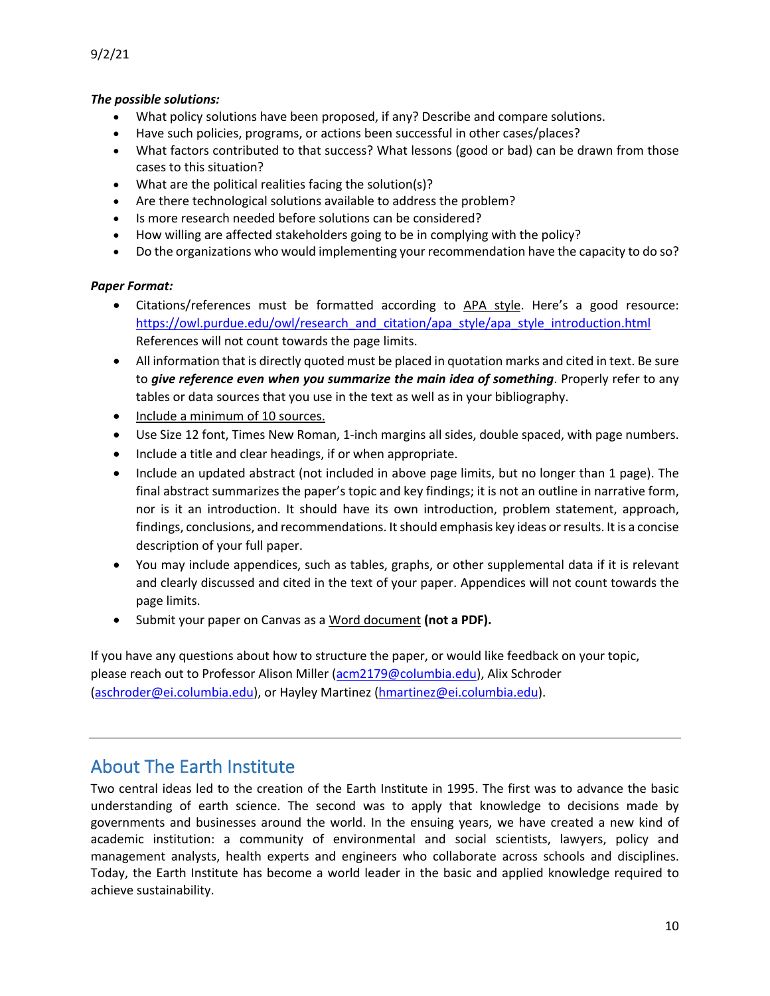### *The possible solutions:*

- What policy solutions have been proposed, if any? Describe and compare solutions.
- Have such policies, programs, or actions been successful in other cases/places?
- What factors contributed to that success? What lessons (good or bad) can be drawn from those cases to this situation?
- What are the political realities facing the solution(s)?
- Are there technological solutions available to address the problem?
- Is more research needed before solutions can be considered?
- How willing are affected stakeholders going to be in complying with the policy?
- Do the organizations who would implementing your recommendation have the capacity to do so?

### *Paper Format:*

- Citations/references must be formatted according to APA style. Here's a good resource: https://owl.purdue.edu/owl/research\_and\_citation/apa\_style/apa\_style\_introduction.html References will not count towards the page limits.
- All information that is directly quoted must be placed in quotation marks and cited in text. Be sure to *give reference even when you summarize the main idea of something*. Properly refer to any tables or data sources that you use in the text as well as in your bibliography.
- Include a minimum of 10 sources.
- Use Size 12 font, Times New Roman, 1-inch margins all sides, double spaced, with page numbers.
- Include a title and clear headings, if or when appropriate.
- Include an updated abstract (not included in above page limits, but no longer than 1 page). The final abstract summarizes the paper's topic and key findings; it is not an outline in narrative form, nor is it an introduction. It should have its own introduction, problem statement, approach, findings, conclusions, and recommendations. It should emphasis key ideas or results. It is a concise description of your full paper.
- You may include appendices, such as tables, graphs, or other supplemental data if it is relevant and clearly discussed and cited in the text of your paper. Appendices will not count towards the page limits.
- Submit your paper on Canvas as a Word document **(not a PDF).**

If you have any questions about how to structure the paper, or would like feedback on your topic, please reach out to Professor Alison Miller (acm2179@columbia.edu), Alix Schroder (aschroder@ei.columbia.edu), or Hayley Martinez (hmartinez@ei.columbia.edu).

# About The Earth Institute

Two central ideas led to the creation of the Earth Institute in 1995. The first was to advance the basic understanding of earth science. The second was to apply that knowledge to decisions made by governments and businesses around the world. In the ensuing years, we have created a new kind of academic institution: a community of environmental and social scientists, lawyers, policy and management analysts, health experts and engineers who collaborate across schools and disciplines. Today, the Earth Institute has become a world leader in the basic and applied knowledge required to achieve sustainability.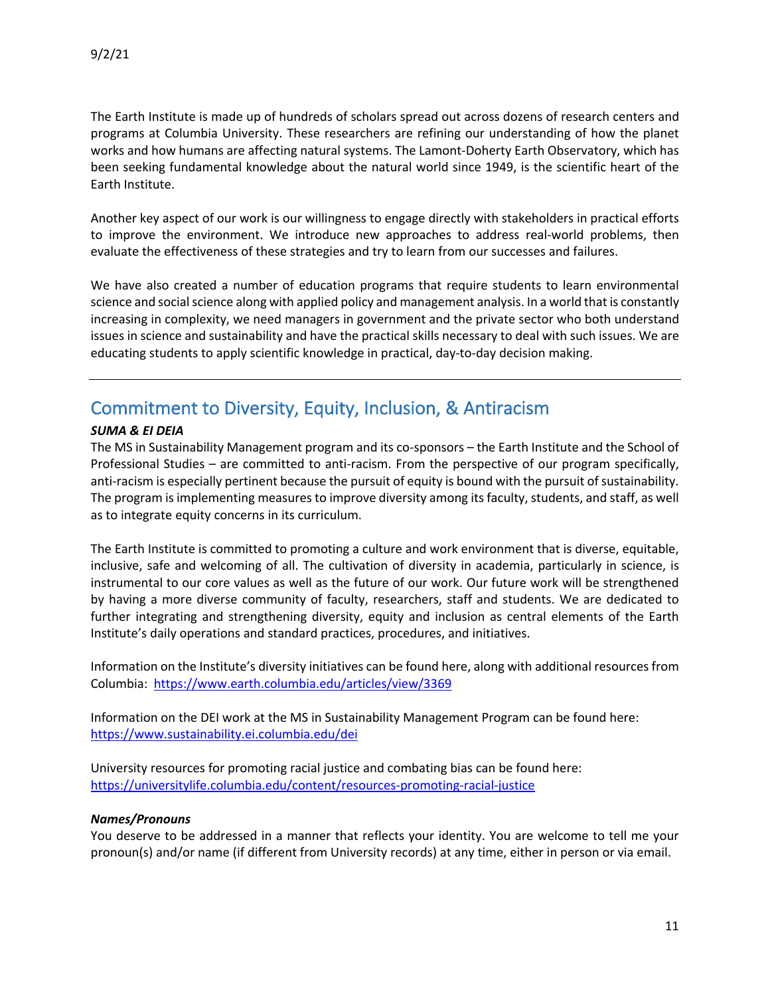The Earth Institute is made up of hundreds of scholars spread out across dozens of research centers and programs at Columbia University. These researchers are refining our understanding of how the planet works and how humans are affecting natural systems. The Lamont-Doherty Earth Observatory, which has been seeking fundamental knowledge about the natural world since 1949, is the scientific heart of the Earth Institute.

Another key aspect of our work is our willingness to engage directly with stakeholders in practical efforts to improve the environment. We introduce new approaches to address real-world problems, then evaluate the effectiveness of these strategies and try to learn from our successes and failures.

We have also created a number of education programs that require students to learn environmental science and social science along with applied policy and management analysis. In a world that is constantly increasing in complexity, we need managers in government and the private sector who both understand issues in science and sustainability and have the practical skills necessary to deal with such issues. We are educating students to apply scientific knowledge in practical, day-to-day decision making.

## Commitment to Diversity, Equity, Inclusion, & Antiracism

#### *SUMA & EI DEIA*

The MS in Sustainability Management program and its co-sponsors – the Earth Institute and the School of Professional Studies – are committed to anti-racism. From the perspective of our program specifically, anti-racism is especially pertinent because the pursuit of equity is bound with the pursuit of sustainability. The program is implementing measures to improve diversity among its faculty, students, and staff, as well as to integrate equity concerns in its curriculum.

The Earth Institute is committed to promoting a culture and work environment that is diverse, equitable, inclusive, safe and welcoming of all. The cultivation of diversity in academia, particularly in science, is instrumental to our core values as well as the future of our work. Our future work will be strengthened by having a more diverse community of faculty, researchers, staff and students. We are dedicated to further integrating and strengthening diversity, equity and inclusion as central elements of the Earth Institute's daily operations and standard practices, procedures, and initiatives.

Information on the Institute's diversity initiatives can be found here, along with additional resources from Columbia: https://www.earth.columbia.edu/articles/view/3369

Information on the DEI work at the MS in Sustainability Management Program can be found here: https://www.sustainability.ei.columbia.edu/dei

University resources for promoting racial justice and combating bias can be found here: https://universitylife.columbia.edu/content/resources-promoting-racial-justice

#### *Names/Pronouns*

You deserve to be addressed in a manner that reflects your identity. You are welcome to tell me your pronoun(s) and/or name (if different from University records) at any time, either in person or via email.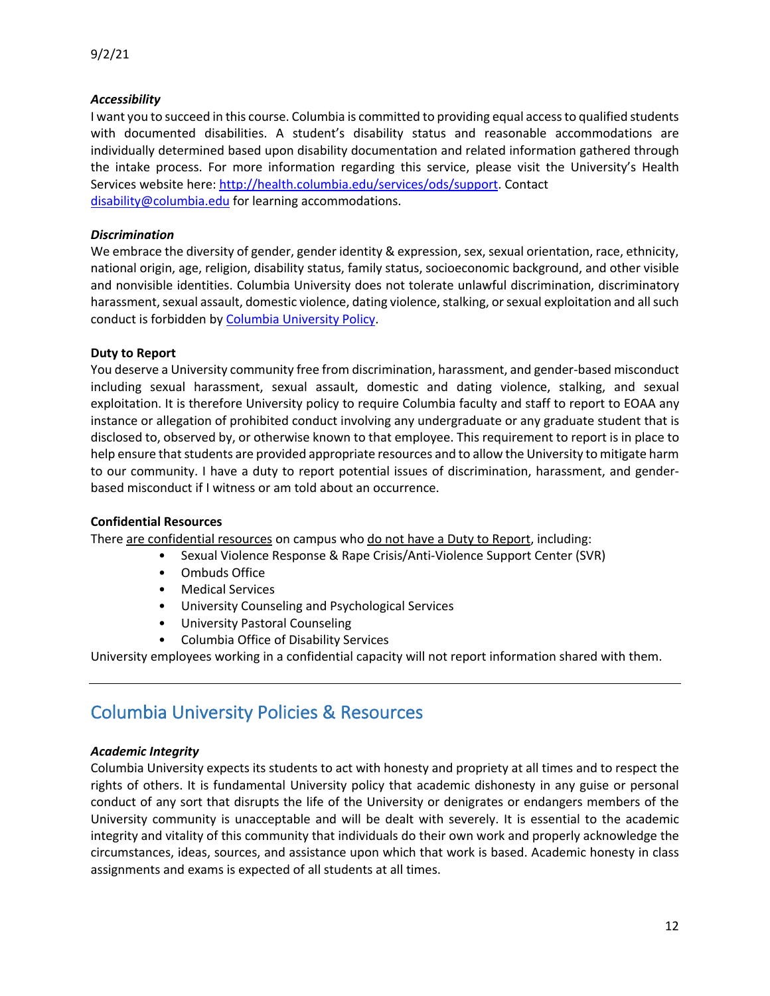#### *Accessibility*

I want you to succeed in this course. Columbia is committed to providing equal access to qualified students with documented disabilities. A student's disability status and reasonable accommodations are individually determined based upon disability documentation and related information gathered through the intake process. For more information regarding this service, please visit the University's Health Services website here: http://health.columbia.edu/services/ods/support. Contact disability@columbia.edu for learning accommodations.

#### *Discrimination*

We embrace the diversity of gender, gender identity & expression, sex, sexual orientation, race, ethnicity, national origin, age, religion, disability status, family status, socioeconomic background, and other visible and nonvisible identities. Columbia University does not tolerate unlawful discrimination, discriminatory harassment, sexual assault, domestic violence, dating violence, stalking, or sexual exploitation and all such conduct is forbidden by Columbia University Policy.

#### **Duty to Report**

You deserve a University community free from discrimination, harassment, and gender-based misconduct including sexual harassment, sexual assault, domestic and dating violence, stalking, and sexual exploitation. It is therefore University policy to require Columbia faculty and staff to report to EOAA any instance or allegation of prohibited conduct involving any undergraduate or any graduate student that is disclosed to, observed by, or otherwise known to that employee. This requirement to report is in place to help ensure that students are provided appropriate resources and to allow the University to mitigate harm to our community. I have a duty to report potential issues of discrimination, harassment, and genderbased misconduct if I witness or am told about an occurrence.

#### **Confidential Resources**

There are confidential resources on campus who do not have a Duty to Report, including:

- Sexual Violence Response & Rape Crisis/Anti-Violence Support Center (SVR)
- Ombuds Office
- Medical Services
- University Counseling and Psychological Services
- University Pastoral Counseling
- Columbia Office of Disability Services

University employees working in a confidential capacity will not report information shared with them.

## Columbia University Policies & Resources

#### *Academic Integrity*

Columbia University expects its students to act with honesty and propriety at all times and to respect the rights of others. It is fundamental University policy that academic dishonesty in any guise or personal conduct of any sort that disrupts the life of the University or denigrates or endangers members of the University community is unacceptable and will be dealt with severely. It is essential to the academic integrity and vitality of this community that individuals do their own work and properly acknowledge the circumstances, ideas, sources, and assistance upon which that work is based. Academic honesty in class assignments and exams is expected of all students at all times.